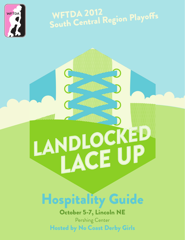

## WETDA 2012 **WFTDA ZUIZ**<br>South Central Region Playoffs

# LANDLOCKED

## Hospitality Guide

October 5-7, Lincoln NE Pershing Center Hosted by No Coast Derby Girls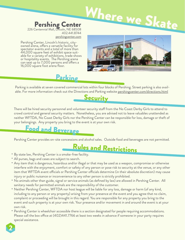## Pershing Center We Skate

226 Centennial Mall, Lincoln, NE 68508 402.441.8744

pershingcenter.com

Pershing Center, Lincoln's historic, cityowned arena, offers a versatile facility for spectator events and a total of more than 44,000 square feet of exhibit space suit- able for a variety of exhibitions, trade shows or hospitality events. The Pershing arena can seat up to 7,000 persons and offers a 16,000 square foot arena floor.



#### Parking

Parking is available at seven covered commercial lots within four blocks of Pershing. Street parking is also available. For more information check out the Directions and Parking website pershingcenter.com/directions.html

#### **Security**

Where

There will be hired security personnel and volunteer security staff from the No Coast Derby Girls to attend to crowd control and general security matters. Nonetheless, you are advised not to leave valuables unattended as neither WFTDA, No Coast Derby Girls nor the Pershing Center can be responsible for loss, damage or theft of your belongings. Any property you bring to the event is at your own risk.

## Food and Beverage

Pershing Center provides on-site concessions and alcohol sales. Outside food and beverages are not permitted.

## Rules and Restrictions

- By state law, Pershing Center is a smoke-free facility.
- All purses, bags and cases are subject to search.

2

- Any item that is dangerous, hazardous and/or illegal or that may be used as a weapon, compromise or otherwise interfere with the enjoyment, comfort or safety of any person or pose risk to security at the venue, or any other item that WFTDA event officials or Pershing Center officials determine (in their absolute discretion) may cause injury or public nuisance or inconvenience to any other person is strictly prohibited.
- No animals other than guide, signal or service animals (as defined by law) are allowed in Pershing Center. All sanitary needs for permitted animals are the responsibility of the customer.
- Neither Pershing Center, WFTDA nor host league will be liable for any loss, damage or harm (of any kind, including to any person or any property) arising from your presence at the event and you agree that no claim, complaint or proceeding will be brought in this regard. You are responsible for any property you bring to the event and such property is at your own risk. Your presence and/or movement in and around the event is at your own risk.
- Pershing Center is wheelchair accessible there is a section designated for people requiring accommodations. •Please call the box office at (402)441.7766 at least two weeks in advance if someone in your party requires special assistance.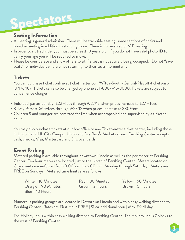## Spectators

#### Seating Information

- All seating is general admission. There will be trackside seating, some sections of chairs and bleacher seating in addition to standing room. There is no reserved or VIP seating.
- In order to sit trackside, you must be at least 18 years old. If you do not have valid photo ID to verify your age you will be required to move.
- Please be considerate and allow others to sit if a seat is not actively being occupied. Do not "save seats" for individuals who are not returning to their seats momentarily.

#### Tickets

You can purchase tickets online at ticketmaster.com/Wftda-South-Central-Playoff-tickets/artist/176407. Tickets can also be charged by phone at 1-800-745-3000. Tickets are subject to convenience charges.

- Individual passes per day: \$22 +fees through 9/27/12 when prices increase to \$27 + fees
- 3-Day Passes: \$65+fees through 9/27/12 when prices increase to \$80+fees
- Children 9 and younger are admitted for free when accompanied and supervised by a ticketed adult.

You may also purchase tickets at our box office or any Ticketmaster ticket center, including those in Lincoln at UNL City Campus Union and five Russ's Markets stores. Pershing Center accepts cash, checks, Visa, Mastercard and Discover cards.

#### Event Parking

Metered parking is available throughout downtown Lincoln as well as the perimeter of Pershing Center. Ten hour meters are located just to the North of Pershing Center. Meters located on City streets are enforced from 8:00 a.m. to 6:00 p.m. Monday through Saturday. Meters are FREE on Sundays. Metered time limits are as follows:

| White = 10 Minutes  | Red = 30 Minutes  | Yellow = 60 Minutes |
|---------------------|-------------------|---------------------|
| Orange = 90 Minutes | $Green = 2 Hours$ | Brown = 5 Hours     |
| $Blue = 10$ Hours   |                   |                     |

Numerous parking garages are located in Downtown Lincoln and within easy walking distance to Pershing Center. Rates are First Hour FREE | \$1 ea. additional hour | Max. \$9 all day.

The Holiday Inn is within easy walking distance to Pershing Center. The Holiday Inn is 7 blocks to the west of Pershing Center.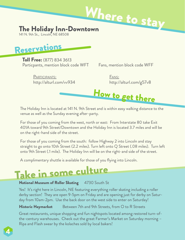

141 N. 9th St., Lincoln, NE 68508



**Toll Free:** (877) 834 3613 Particpants, mention block code WFT Fans, mention block code WFF

Participants: Fans:

http://alturl.com/vv934 http://alturl.com/g57v8



The Holiday Inn is located at 141 N. 9th Street and is within easy walking distance to the venue as well as the Sunday evening after-party.

For those of you coming from the west, north or east: From Interstate 80 take Exit 401A toward 9th Street/Downtown and the Holiday Inn is located 3.7 miles and will be on the right-hand side of the street.

For those of you coming from the south: follow Highway 2 into Lincoln and stay straight to go onto 10th Street (2.2 miles). Turn left onto Q Street (.08 miles). Turn left onto 9th Street (.1 mile). The Holiday Inn will be on the right-and side of the street.

A complimentary shuttle is available for those of you flying into Lincoln.

## Take in some culture

4

#### **National Museum of Roller Skating** 4730 South St

Yes! It's right here in Lincoln, NE featuring everything roller skating including a roller derby section! They are open 9-5pm on Friday and are opening just for derby on Saturday from 10am-2pm. Use the back door on the west side to enter on Saturday!

#### Historic Haymarket Between 7th and 9th Streets, from O to R Streets

Great restaurants, unique shopping and fun nightspots located among restored turn-ofthe-century warehouses. Check out the great Farmer's Market on Saturday morning – Ripa and Flash swear by the kolaches sold by local bakers!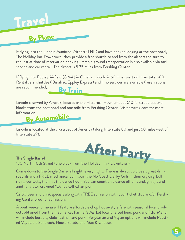## Trave

### By Plane

If flying into the Lincoln Municipal Airport (LNK) and have booked lodging at the host hotel, The Holiday Inn-Downtown, they provide a free shuttle to and from the airport (be sure to request at time of reservation booking). Ample ground transportation is also available via taxi service and car rental. The airport is 5.35 miles from Pershing Center.

If flying into Eppley Airfield (OMA) in Omaha, Lincoln is 60 miles west on Interstate I-80. Rental cars, shuttles (Omalink, Eppley Express) and limo services are available (reservations are recommended). By Train

Lincoln is served by Amtrak, located in the Historical Haymarket at 510 N Street just two blocks from the host hotel and one mile from Pershing Center. Visit amtrak.com for more information.

By Automobile

Lincoln is located at the crossroads of America (along Interstate 80 and just 50 miles west of Interstate 29).



The Single Barrel 130 North 10th Street (one block from the Holiday Inn - Downtown)

Come down to the Single Barrel all night, every night. There is always cold beer, great drink specials and a FREE mechanical bull! Join the No Coast Derby Girls in their ongoing bull riding contests, then hit the dance floor. You can count on a dance off on Sunday night and another victor crowned "Dance Off Champion!"

\$2.50 beer and drink specials along with FREE admission with your ticket stub and/or Pershing Center proof of admission.

A bout weekend menu will feature affordable chop house-style fare with seasonal local products obtained from the Haymarket Farmer's Market locally raised beer, pork and fish. Menu will include burgers, clubs, catfish and pork. Vegetarian and Vegan options will include Roasted Vegetable Sandwich, House Salads, and Mac & Cheese.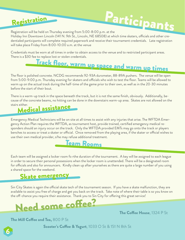## Registration

## Participants

Registration will be held on Thursday evening from 5:00-8:00 p.m. at the

Holiday Inn Downtown Lincoln (141 N. 9th St., Lincoln, NE 68508) at which time skaters, officials and other credentialed participants will complete required paperwork and receive their tournament credentials. Late registration will take place Friday from 8:00-10:00 a.m. at the venue

Credentials must be worn at all times in order to obtain access to the venue and to restricted participant areas. There is a \$30 fee to replace lost or stolen credentials.

## Track floor, warm up space and warm up times

The floor is polished concrete. NCDG recommends 92-93A durometer, 88-89A pushers. The venue will be open from 5:00-9:00 p.m. Thursday evening for skaters and officials who wish to test the floor. Teams will be allowed to warm up on the actual track during the half-time of the game prior to their own, as well as in the 20-30 minutes before the start of their bout.

There is a warm-up track in the space beneath the track, but it is not the same finish, obviously. Additionally, because of the concrete beams, no hitting can be done in the downstairs warm-up area. Skates are not allowed on the stairs either.



Emergency Medical Technicians will be on site at all times to assist with any injuries that arise. The WFTDA Emergency Action Plan requires the WFTDA, as tournament host, provide trained, certified emergency medical responders should an injury occur on the track. Only the WFTDA provided EMTs may go onto the track or players benches to access or treat a skater or official. Once removed from the playing area, if the skater or official wishes to use their own medical provider, s/he may refuse additional treatment.



Each team will be assigned a locker room fo rthe duration of the tournament. A key will be assigned to each league in order to secure their personal possessions when the locker room is unattended. There will be a designated room for officials and also for announcers. Kindly clean up after yourselves as there are quite a large number of you using a shared space for the weekend.

## Skate emergency

Sin City Skates is again the official skate tech of the tournament season. If you have a skate malfunction, they are available to assist you free of charge and get you back on the track. Take note of where their table is so you know on the off-chance you require their assistance. Thank you to Sin City for offering this great service!



The Coffee House, 1324 P St

The Mill Coffee and Tea, 800 P St

6

Scooter's Coffee & Yogurt,  $1033$  O St & 151 N 8th St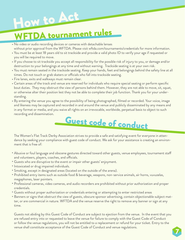

- No video or audio recording devices or cameras with detachable lenses without prior approval from the WFTDA. Please visit wftda.com/tournaments/credentials for more information.
- You must be at least 18 years old to sit trackside and provide a valid photo ID to verify your age if requested or you will be required to move.
- If you choose to sit trackside you accept all responsibility for the possible risk of injury to you, or damage and/or destruction to your belongings at any time and without warning. Trackside seating is at your own risk.
- You must remain seated in the trackside seating. Keep your hands, feet and belongings behind the safety line at all times. Do not touch or grab skaters or officials who fall into trackside seating.
- Fire lanes, exits and walkways must remain clear.
- Certain areas of the track and venue are reserved for individuals who require special seating or perform specific bout duties. They may obstruct the view of persons behind them. However, they are not able to move, sit, squat, or otherwise alter their position lest they not be able to complete their job function. Thank you for your understanding.
- By entering the venue you agree to the possibility of being photographed, filmed or recorded. Your voice, image and likeness may be captured and recorded in and around the venue and publicly disseminated by any means and in any format or media, and you waive all rights on an irrevocable, worldwide, perpetual basis to object to such recording and dissemination.



The Women's Flat Track Derby Association strives to provide a safe and satisfying event for everyone in attendance by seeking your compliance with guest code of conduct. We ask for your assistance is creating an environment that is free of:

- Abusive or foul language and obscene gestures directed toward other guests, venue employees, tournament staff and volunteers, players, coaches, and officials.
- Guests who are disruptive to the event or impair other guests' enjoyment. •
- Intoxicated or drug impaired individuals.
- Smoking, except in designated areas (located on the outside of the arena). •
- Prohibited entry items such as outside food & beverage, weapons, non-service animals, air horns, vuvuzelas, megaphones, laser pointers.
- Professional cameras, video cameras, and audio recorders are prohibited without prior authorization and proper credentials.
- Guests without proper authorization or credentials entering or attempting to enter restricted areas •
- Banners or signs that obstruct the view of guests, obscure sponsor advertising, contain objectionable subject matter, or are commercial in nature. WFTDA and the venue reserve the right to remove any banner or sign at any time.

Guests not abiding by this Guest Code of Conduct are subject to ejection from the venue. In the event that you are refused entry into or requested to leave the venue for failure to comply with the Guest Code of Conduct or follow the venue regulations, you will not be entitled to a replacement or refund for your ticket. Entry to the venue shall constitute acceptance of the Guest Code of Conduct and venue regulations.

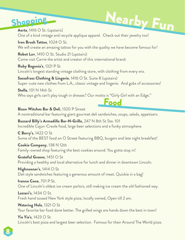## Shopping

Aorta,  $1416$  O St. (upstairs) One of a kind vintage and recycle applique apparel. Check out their jewelry too! Nearby Fun

Iron Brush Tattoo, 1024 O St. We will create an amazing tattoo for you with the quality we have become famous for!

**Robot Luv**, 1410  $\circ$  St. Studio 21 (upstairs) Come visit Carrie the artist and creator of this international brand.

Ruby Begonia's, 1321 P St Lincoln's longest standing vintage clothing store, with clothing from every era.

Sassafrass Clothing & Lingerie, 1416 O St. Suite 8 (upstairs) Super-cute new clothes from L.A., classic vintage and lingerie. And gobs of accessories!

**Stella**, 101 N 14th St Who says girls can't play tough in dresses? Our motto is "Girly Girl with an Edge."

#### **Bison Witches Bar & Deli, 1320 P Street**

A nontraditional bar featuring giant gourmet deli sandwiches, soups, salads, appetizers.

Food

Buzzard Billy's Armadillo Bar-N-Grillo, 247 N 8th St Ste. 101 Incredible Cajun-Creole food, large beer selections and a funky atmosphere.

**C Berry's, 1422 O St** Some of the BEST food on O Street featuring BBQ, burgers and late night breakfast!

Cookie Company, 138 N 12th Family-owned shop featuring the best cookies around. You gotta stop in!

Grateful Greens, 1451 O St Providing a healthy and local alternative for lunch and dinner in downtown Lincoln.

Highnooner's,  $1414 \circ St$ Deli style sandwiches featuring a generous amount of meat. Quickie in a bag!

Ivanna Cone, 701 P St. One of Lincoln's oldest ice cream parlors, still making ice cream the old fashioned way.

Lazzari's,  $1434 \bigcirc$  St. Fresh hand tossed New York style pizza, locally owned, Open till 2 am.

**Watering Hole, 1321**  $\circ$  **St** Your favorite bar food done better. The grilled wings are hands down the best in town!

**Yia Yia's**, 1423  $\circ$  St Lincoln's best pizza and largest beer selection. Famous for their Around The World pizza.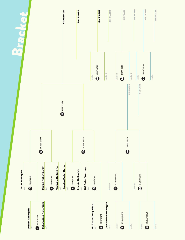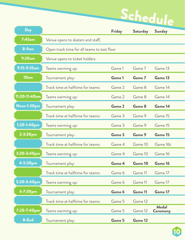Schedule

| Day                |                                             | <b>Friday</b> | <b>Saturday</b> | <b>Sunday</b>                   |
|--------------------|---------------------------------------------|---------------|-----------------|---------------------------------|
| $7:45$ am          | Venue opens to skaters and staff,           |               |                 |                                 |
| $8-9am$            | Open track time for all teams to test floor |               |                 |                                 |
| 9:30am             | Venue opens to ticket holders               |               |                 |                                 |
| $9:15-9:35am$      | Teams warming up:                           | Game 1        | Game 7          | Game 13                         |
| 10am               | Tournament play:                            | Game 1        | Game 7          | Game 13                         |
|                    | Track time at halftime for teams:           | Game 2        | Game 8          | Game 14                         |
| 11:20-11:40am      | Teams warming up:                           | Game 2        | Game 8          | Game 14                         |
| <b>Noon-1:30pm</b> | Tournament play:                            | <b>Game 2</b> | Game 8          | Game 14                         |
|                    | Track time at halftime for teams:           | Game 3        | Game 9          | Game 15                         |
| $1:20 - 1:40$ pm   | Teams warming up:                           | Game 3        | Game 9          | Game 15                         |
| 2-3:30pm           | Tournament play:                            | Game 3        | Game 9          | Game 15                         |
|                    | Track time at halftime for teams:           | Game 4        | Game 10         | Game 16t                        |
| 3:20-3:40pm        | Teams warming up:                           | Game 4        | Game 10         | Game 16                         |
| 4-5:30pm           | Tournament play:                            | Game 4        | Game 10         | Game 16                         |
|                    | Track time at halftime for teams:           | Game 6        | Game 11         | Game 17                         |
| 5:20-5:40pm        | Teams warming up:                           | Game 6        | Game 11         | Game 17                         |
| 6-7:30pm           | Tournament play:                            | Game 6        | <b>Game 11</b>  | Game 17                         |
|                    | Track time at halftime for teams:           | Game 5        | Game 12         |                                 |
| 7:20-7:40pm        | Teams warming up:                           | Game 5        | Game 12         | <b>Medal</b><br><b>Ceremony</b> |
| 8-End              | Tournament play:                            | Game 5        | <b>Game 12</b>  |                                 |